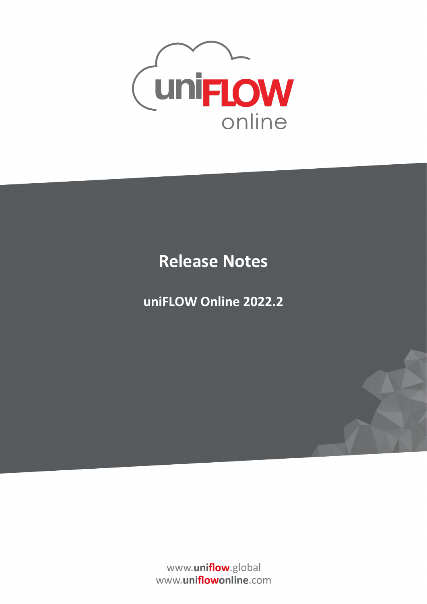

## **Release Notes**

## **uniFLOW Online 2022.2**

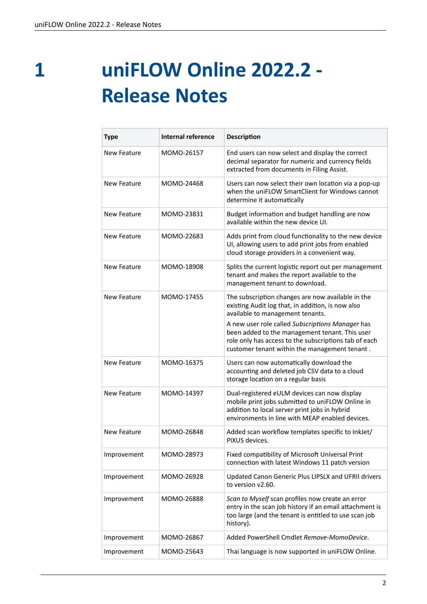**1**

## **uniFLOW Online 2022.2 - Release Notes**

| <b>Type</b>        | <b>Internal reference</b> | <b>Description</b>                                                                                                                                                                                                                                                                                                                                         |
|--------------------|---------------------------|------------------------------------------------------------------------------------------------------------------------------------------------------------------------------------------------------------------------------------------------------------------------------------------------------------------------------------------------------------|
| New Feature        | MOMO-26157                | End users can now select and display the correct<br>decimal separator for numeric and currency fields<br>extracted from documents in Filing Assist.                                                                                                                                                                                                        |
| New Feature        | MOMO-24468                | Users can now select their own location via a pop-up<br>when the uniFLOW SmartClient for Windows cannot<br>determine it automatically                                                                                                                                                                                                                      |
| <b>New Feature</b> | MOMO-23831                | Budget information and budget handling are now<br>available within the new device UI.                                                                                                                                                                                                                                                                      |
| New Feature        | MOMO-22683                | Adds print from cloud functionality to the new device<br>UI, allowing users to add print jobs from enabled<br>cloud storage providers in a convenient way.                                                                                                                                                                                                 |
| <b>New Feature</b> | MOMO-18908                | Splits the current logistic report out per management<br>tenant and makes the report available to the<br>management tenant to download.                                                                                                                                                                                                                    |
| New Feature        | MOMO-17455                | The subscription changes are now available in the<br>existing Audit log that, in addition, is now also<br>available to management tenants.<br>A new user role called Subscriptions Manager has<br>been added to the management tenant. This user<br>role only has access to the subscriptions tab of each<br>customer tenant within the management tenant. |
| New Feature        | MOMO-16375                | Users can now automatically download the<br>accounting and deleted job CSV data to a cloud<br>storage location on a regular basis                                                                                                                                                                                                                          |
| New Feature        | MOMO-14397                | Dual-registered eULM devices can now display<br>mobile print jobs submitted to uniFLOW Online in<br>addition to local server print jobs in hybrid<br>environments in line with MFAP enabled devices.                                                                                                                                                       |
| New Feature        | MOMO-26848                | Added scan workflow templates specific to InkJet/<br>PIXUS devices.                                                                                                                                                                                                                                                                                        |
| Improvement        | MOMO-28973                | Fixed compatibility of Microsoft Universal Print<br>connection with latest Windows 11 patch version                                                                                                                                                                                                                                                        |
| Improvement        | MOMO-26928                | Updated Canon Generic Plus LIPSLX and UFRII drivers<br>to version v2.60.                                                                                                                                                                                                                                                                                   |
| Improvement        | MOMO-26888                | Scan to Myself scan profiles now create an error<br>entry in the scan job history if an email attachment is<br>too large (and the tenant is entitled to use scan job<br>history).                                                                                                                                                                          |
| Improvement        | MOMO-26867                | Added PowerShell Cmdlet Remove-MomoDevice.                                                                                                                                                                                                                                                                                                                 |
| Improvement        | MOMO-25643                | Thai language is now supported in uniFLOW Online.                                                                                                                                                                                                                                                                                                          |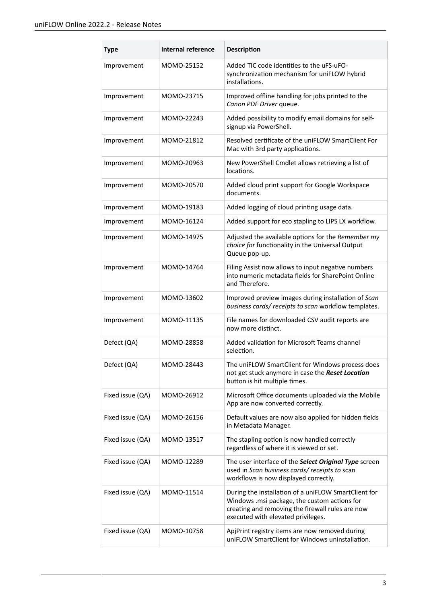| <b>Type</b>      | <b>Internal reference</b> | <b>Description</b>                                                                                                                                                                             |
|------------------|---------------------------|------------------------------------------------------------------------------------------------------------------------------------------------------------------------------------------------|
| Improvement      | MOMO-25152                | Added TIC code identities to the uFS-uFO-<br>synchronization mechanism for uniFLOW hybrid<br>installations.                                                                                    |
| Improvement      | MOMO-23715                | Improved offline handling for jobs printed to the<br>Canon PDF Driver queue.                                                                                                                   |
| Improvement      | MOMO-22243                | Added possibility to modify email domains for self-<br>signup via PowerShell.                                                                                                                  |
| Improvement      | MOMO-21812                | Resolved certificate of the uniFLOW SmartClient For<br>Mac with 3rd party applications.                                                                                                        |
| Improvement      | MOMO-20963                | New PowerShell Cmdlet allows retrieving a list of<br>locations.                                                                                                                                |
| Improvement      | MOMO-20570                | Added cloud print support for Google Workspace<br>documents.                                                                                                                                   |
| Improvement      | MOMO-19183                | Added logging of cloud printing usage data.                                                                                                                                                    |
| Improvement      | MOMO-16124                | Added support for eco stapling to LIPS LX workflow.                                                                                                                                            |
| Improvement      | MOMO-14975                | Adjusted the available options for the Remember my<br>choice for functionality in the Universal Output<br>Queue pop-up.                                                                        |
| Improvement      | MOMO-14764                | Filing Assist now allows to input negative numbers<br>into numeric metadata fields for SharePoint Online<br>and Therefore.                                                                     |
| Improvement      | MOMO-13602                | Improved preview images during installation of Scan<br>business cards/receipts to scan workflow templates.                                                                                     |
| Improvement      | MOMO-11135                | File names for downloaded CSV audit reports are<br>now more distinct.                                                                                                                          |
| Defect (QA)      | MOMO-28858                | Added validation for Microsoft Teams channel<br>selection.                                                                                                                                     |
| Defect (QA)      | MOMO-28443                | The uniFLOW SmartClient for Windows process does<br>not get stuck anymore in case the Reset Location<br>button is hit multiple times.                                                          |
| Fixed issue (QA) | MOMO-26912                | Microsoft Office documents uploaded via the Mobile<br>App are now converted correctly.                                                                                                         |
| Fixed issue (QA) | MOMO-26156                | Default values are now also applied for hidden fields<br>in Metadata Manager.                                                                                                                  |
| Fixed issue (QA) | MOMO-13517                | The stapling option is now handled correctly<br>regardless of where it is viewed or set.                                                                                                       |
| Fixed issue (QA) | MOMO-12289                | The user interface of the Select Original Type screen<br>used in Scan business cards/receipts to scan<br>workflows is now displayed correctly.                                                 |
| Fixed issue (QA) | MOMO-11514                | During the installation of a uniFLOW SmartClient for<br>Windows .msi package, the custom actions for<br>creating and removing the firewall rules are now<br>executed with elevated privileges. |
| Fixed issue (QA) | MOMO-10758                | ApjPrint registry items are now removed during<br>uniFLOW SmartClient for Windows uninstallation.                                                                                              |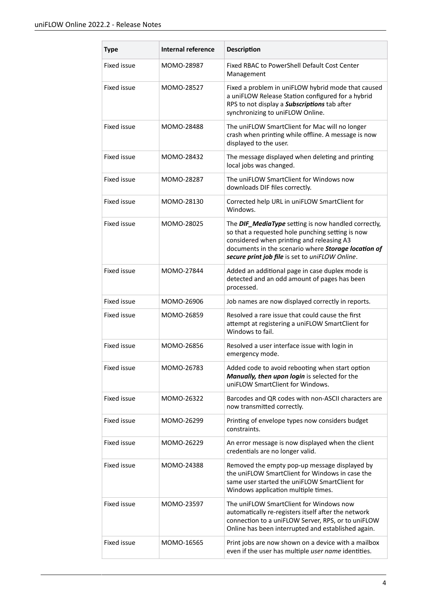| <b>Type</b>        | <b>Internal reference</b> | <b>Description</b>                                                                                                                                                                                                                                             |
|--------------------|---------------------------|----------------------------------------------------------------------------------------------------------------------------------------------------------------------------------------------------------------------------------------------------------------|
| Fixed issue        | MOMO-28987                | Fixed RBAC to PowerShell Default Cost Center<br>Management                                                                                                                                                                                                     |
| Fixed issue        | MOMO-28527                | Fixed a problem in uniFLOW hybrid mode that caused<br>a uniFLOW Release Station configured for a hybrid<br>RPS to not display a <b>Subscriptions</b> tab after<br>synchronizing to uniFLOW Online.                                                             |
| Fixed issue        | MOMO-28488                | The uniFLOW SmartClient for Mac will no longer<br>crash when printing while offline. A message is now<br>displayed to the user.                                                                                                                                |
| <b>Fixed issue</b> | MOMO-28432                | The message displayed when deleting and printing<br>local jobs was changed.                                                                                                                                                                                    |
| Fixed issue        | MOMO-28287                | The uniFLOW SmartClient for Windows now<br>downloads DIF files correctly.                                                                                                                                                                                      |
| Fixed issue        | MOMO-28130                | Corrected help URL in uniFLOW SmartClient for<br>Windows.                                                                                                                                                                                                      |
| Fixed issue        | MOMO-28025                | The DIF_MediaType setting is now handled correctly,<br>so that a requested hole punching setting is now<br>considered when printing and releasing A3<br>documents in the scenario where Storage location of<br>secure print job file is set to uniFLOW Online. |
| Fixed issue        | MOMO-27844                | Added an additional page in case duplex mode is<br>detected and an odd amount of pages has been<br>processed.                                                                                                                                                  |
| Fixed issue        | MOMO-26906                | Job names are now displayed correctly in reports.                                                                                                                                                                                                              |
| Fixed issue        | MOMO-26859                | Resolved a rare issue that could cause the first<br>attempt at registering a uniFLOW SmartClient for<br>Windows to fail.                                                                                                                                       |
| Fixed issue        | MOMO-26856                | Resolved a user interface issue with login in<br>emergency mode.                                                                                                                                                                                               |
| Fixed issue        | MOMO-26783                | Added code to avoid rebooting when start option<br>Manually, then upon login is selected for the<br>uniFLOW SmartClient for Windows.                                                                                                                           |
| Fixed issue        | MOMO-26322                | Barcodes and QR codes with non-ASCII characters are<br>now transmitted correctly.                                                                                                                                                                              |
| Fixed issue        | MOMO-26299                | Printing of envelope types now considers budget<br>constraints.                                                                                                                                                                                                |
| Fixed issue        | MOMO-26229                | An error message is now displayed when the client<br>credentials are no longer valid.                                                                                                                                                                          |
| Fixed issue        | MOMO-24388                | Removed the empty pop-up message displayed by<br>the uniFLOW SmartClient for Windows in case the<br>same user started the uniFLOW SmartClient for<br>Windows application multiple times.                                                                       |
| Fixed issue        | MOMO-23597                | The uniFLOW SmartClient for Windows now<br>automatically re-registers itself after the network<br>connection to a uniFLOW Server, RPS, or to uniFLOW<br>Online has been interrupted and established again.                                                     |
| Fixed issue        | MOMO-16565                | Print jobs are now shown on a device with a mailbox<br>even if the user has multiple user name identities.                                                                                                                                                     |